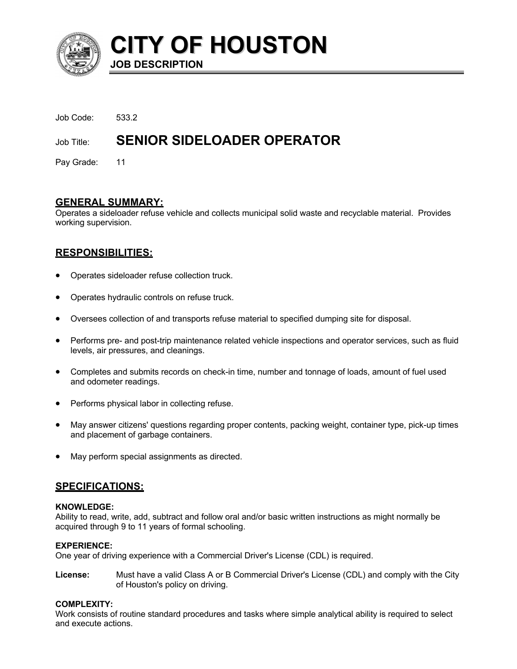

**CITY OF HOUSTON JOB DESCRIPTION**

| Job Title: | <b>SENIOR SIDELOADER OPERATOR</b> |
|------------|-----------------------------------|

Pay Grade: 11

## **GENERAL SUMMARY:**

Operates a sideloader refuse vehicle and collects municipal solid waste and recyclable material. Provides working supervision.

# **RESPONSIBILITIES:**

- Operates sideloader refuse collection truck.
- Operates hydraulic controls on refuse truck.
- Oversees collection of and transports refuse material to specified dumping site for disposal.
- Performs pre- and post-trip maintenance related vehicle inspections and operator services, such as fluid levels, air pressures, and cleanings.
- Completes and submits records on check-in time, number and tonnage of loads, amount of fuel used and odometer readings.
- Performs physical labor in collecting refuse.
- May answer citizens' questions regarding proper contents, packing weight, container type, pick-up times and placement of garbage containers.
- May perform special assignments as directed.

## **SPECIFICATIONS:**

### **KNOWLEDGE:**

Ability to read, write, add, subtract and follow oral and/or basic written instructions as might normally be acquired through 9 to 11 years of formal schooling.

## **EXPERIENCE:**

One year of driving experience with a Commercial Driver's License (CDL) is required.

**License:** Must have a valid Class A or B Commercial Driver's License (CDL) and comply with the City of Houston's policy on driving.

## **COMPLEXITY:**

Work consists of routine standard procedures and tasks where simple analytical ability is required to select and execute actions.